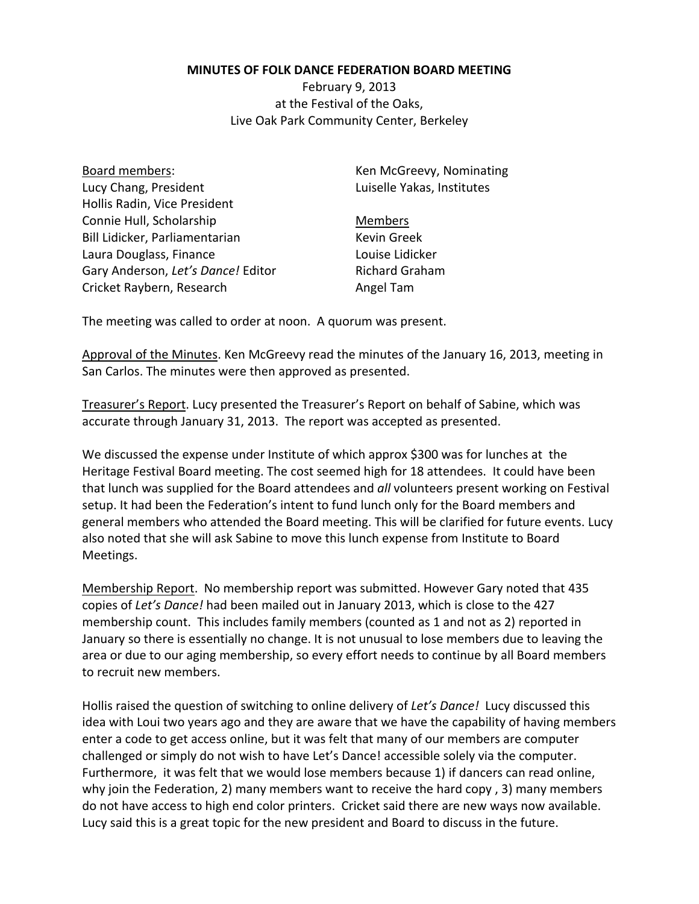## **MINUTES OF FOLK DANCE FEDERATION BOARD MEETING**

February 9, 2013 at the Festival of the Oaks, Live Oak Park Community Center, Berkeley

Board members: Lucy Chang, President Hollis Radin, Vice President Connie Hull, Scholarship Bill Lidicker, Parliamentarian Laura Douglass, Finance Gary Anderson, *Let's Dance!* Editor Cricket Raybern, Research

Ken McGreevy, Nominating Luiselle Yakas, Institutes

Members Kevin Greek Louise Lidicker Richard Graham Angel Tam

The meeting was called to order at noon. A quorum was present.

Approval of the Minutes. Ken McGreevy read the minutes of the January 16, 2013, meeting in San Carlos. The minutes were then approved as presented.

Treasurer's Report. Lucy presented the Treasurer's Report on behalf of Sabine, which was accurate through January 31, 2013. The report was accepted as presented.

We discussed the expense under Institute of which approx \$300 was for lunches at the Heritage Festival Board meeting. The cost seemed high for 18 attendees. It could have been that lunch was supplied for the Board attendees and *all* volunteers present working on Festival setup. It had been the Federation's intent to fund lunch only for the Board members and general members who attended the Board meeting. This will be clarified for future events. Lucy also noted that she will ask Sabine to move this lunch expense from Institute to Board Meetings.

Membership Report. No membership report was submitted. However Gary noted that 435 copies of *Let's Dance!* had been mailed out in January 2013, which is close to the 427 membership count. This includes family members (counted as 1 and not as 2) reported in January so there is essentially no change. It is not unusual to lose members due to leaving the area or due to our aging membership, so every effort needs to continue by all Board members to recruit new members.

Hollis raised the question of switching to online delivery of *Let's Dance!* Lucy discussed this idea with Loui two years ago and they are aware that we have the capability of having members enter a code to get access online, but it was felt that many of our members are computer challenged or simply do not wish to have Let's Dance! accessible solely via the computer. Furthermore, it was felt that we would lose members because 1) if dancers can read online, why join the Federation, 2) many members want to receive the hard copy , 3) many members do not have access to high end color printers. Cricket said there are new ways now available. Lucy said this is a great topic for the new president and Board to discuss in the future.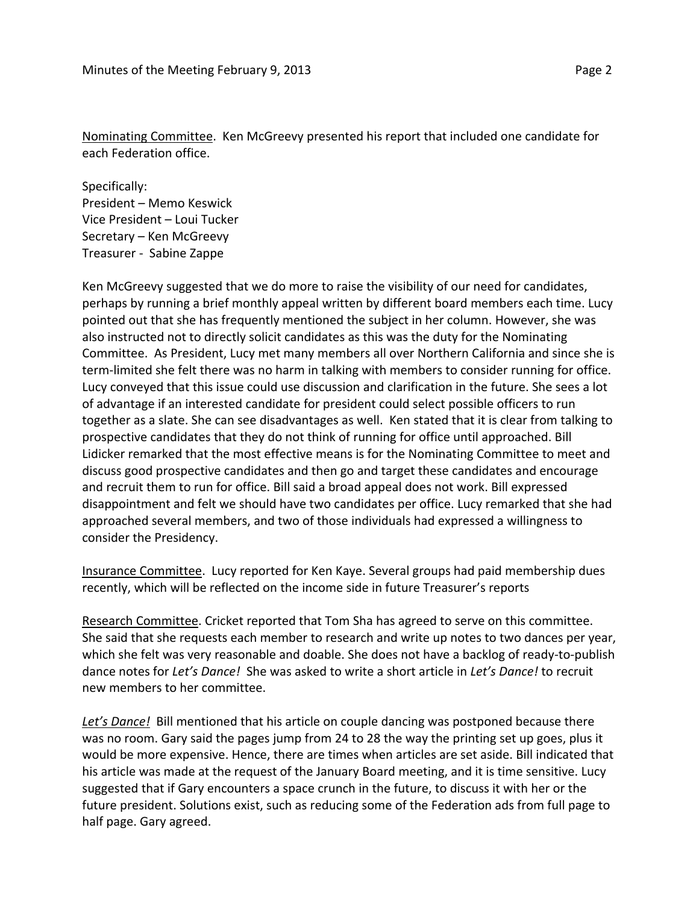Nominating Committee. Ken McGreevy presented his report that included one candidate for each Federation office.

Specifically: President – Memo Keswick Vice President – Loui Tucker Secretary – Ken McGreevy Treasurer - Sabine Zappe

Ken McGreevy suggested that we do more to raise the visibility of our need for candidates, perhaps by running a brief monthly appeal written by different board members each time. Lucy pointed out that she has frequently mentioned the subject in her column. However, she was also instructed not to directly solicit candidates as this was the duty for the Nominating Committee. As President, Lucy met many members all over Northern California and since she is term-limited she felt there was no harm in talking with members to consider running for office. Lucy conveyed that this issue could use discussion and clarification in the future. She sees a lot of advantage if an interested candidate for president could select possible officers to run together as a slate. She can see disadvantages as well. Ken stated that it is clear from talking to prospective candidates that they do not think of running for office until approached. Bill Lidicker remarked that the most effective means is for the Nominating Committee to meet and discuss good prospective candidates and then go and target these candidates and encourage and recruit them to run for office. Bill said a broad appeal does not work. Bill expressed disappointment and felt we should have two candidates per office. Lucy remarked that she had approached several members, and two of those individuals had expressed a willingness to consider the Presidency.

Insurance Committee. Lucy reported for Ken Kaye. Several groups had paid membership dues recently, which will be reflected on the income side in future Treasurer's reports

Research Committee. Cricket reported that Tom Sha has agreed to serve on this committee. She said that she requests each member to research and write up notes to two dances per year, which she felt was very reasonable and doable. She does not have a backlog of ready-to-publish dance notes for *Let's Dance!* She was asked to write a short article in *Let's Dance!* to recruit new members to her committee.

*Let's Dance!* Bill mentioned that his article on couple dancing was postponed because there was no room. Gary said the pages jump from 24 to 28 the way the printing set up goes, plus it would be more expensive. Hence, there are times when articles are set aside. Bill indicated that his article was made at the request of the January Board meeting, and it is time sensitive. Lucy suggested that if Gary encounters a space crunch in the future, to discuss it with her or the future president. Solutions exist, such as reducing some of the Federation ads from full page to half page. Gary agreed.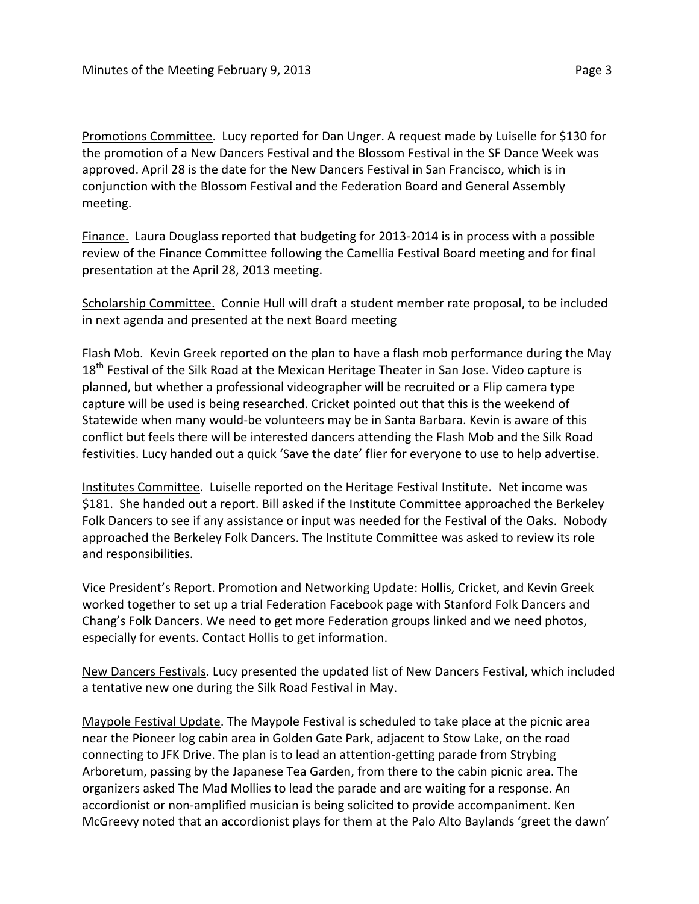Promotions Committee. Lucy reported for Dan Unger. A request made by Luiselle for \$130 for the promotion of a New Dancers Festival and the Blossom Festival in the SF Dance Week was approved. April 28 is the date for the New Dancers Festival in San Francisco, which is in conjunction with the Blossom Festival and the Federation Board and General Assembly meeting.

Finance. Laura Douglass reported that budgeting for 2013-2014 is in process with a possible review of the Finance Committee following the Camellia Festival Board meeting and for final presentation at the April 28, 2013 meeting.

Scholarship Committee. Connie Hull will draft a student member rate proposal, to be included in next agenda and presented at the next Board meeting

Flash Mob. Kevin Greek reported on the plan to have a flash mob performance during the May  $18<sup>th</sup>$  Festival of the Silk Road at the Mexican Heritage Theater in San Jose. Video capture is planned, but whether a professional videographer will be recruited or a Flip camera type capture will be used is being researched. Cricket pointed out that this is the weekend of Statewide when many would-be volunteers may be in Santa Barbara. Kevin is aware of this conflict but feels there will be interested dancers attending the Flash Mob and the Silk Road festivities. Lucy handed out a quick 'Save the date' flier for everyone to use to help advertise.

Institutes Committee. Luiselle reported on the Heritage Festival Institute. Net income was \$181. She handed out a report. Bill asked if the Institute Committee approached the Berkeley Folk Dancers to see if any assistance or input was needed for the Festival of the Oaks. Nobody approached the Berkeley Folk Dancers. The Institute Committee was asked to review its role and responsibilities.

Vice President's Report. Promotion and Networking Update: Hollis, Cricket, and Kevin Greek worked together to set up a trial Federation Facebook page with Stanford Folk Dancers and Chang's Folk Dancers. We need to get more Federation groups linked and we need photos, especially for events. Contact Hollis to get information.

New Dancers Festivals. Lucy presented the updated list of New Dancers Festival, which included a tentative new one during the Silk Road Festival in May.

Maypole Festival Update. The Maypole Festival is scheduled to take place at the picnic area near the Pioneer log cabin area in Golden Gate Park, adjacent to Stow Lake, on the road connecting to JFK Drive. The plan is to lead an attention-getting parade from Strybing Arboretum, passing by the Japanese Tea Garden, from there to the cabin picnic area. The organizers asked The Mad Mollies to lead the parade and are waiting for a response. An accordionist or non-amplified musician is being solicited to provide accompaniment. Ken McGreevy noted that an accordionist plays for them at the Palo Alto Baylands 'greet the dawn'